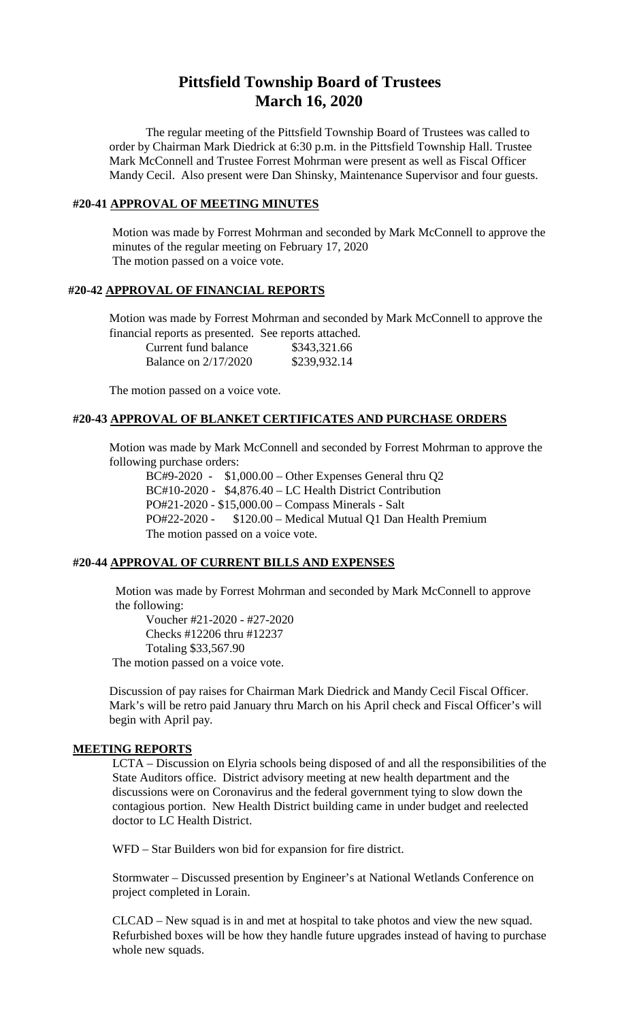# **Pittsfield Township Board of Trustees March 16, 2020**

The regular meeting of the Pittsfield Township Board of Trustees was called to order by Chairman Mark Diedrick at 6:30 p.m. in the Pittsfield Township Hall. Trustee Mark McConnell and Trustee Forrest Mohrman were present as well as Fiscal Officer Mandy Cecil. Also present were Dan Shinsky, Maintenance Supervisor and four guests.

## **#20-41 APPROVAL OF MEETING MINUTES**

Motion was made by Forrest Mohrman and seconded by Mark McConnell to approve the minutes of the regular meeting on February 17, 2020 The motion passed on a voice vote.

#### **#20-42 APPROVAL OF FINANCIAL REPORTS**

Motion was made by Forrest Mohrman and seconded by Mark McConnell to approve the financial reports as presented. See reports attached.

| Current fund balance        | \$343,321.66 |
|-----------------------------|--------------|
| <b>Balance on 2/17/2020</b> | \$239,932.14 |

The motion passed on a voice vote.

# **#20-43 APPROVAL OF BLANKET CERTIFICATES AND PURCHASE ORDERS**

Motion was made by Mark McConnell and seconded by Forrest Mohrman to approve the following purchase orders:

BC#9-2020 - \$1,000.00 – Other Expenses General thru Q2 BC#10-2020 - \$4,876.40 – LC Health District Contribution PO#21-2020 - \$15,000.00 – Compass Minerals - Salt PO#22-2020 - \$120.00 – Medical Mutual Q1 Dan Health Premium The motion passed on a voice vote.

#### **#20-44 APPROVAL OF CURRENT BILLS AND EXPENSES**

Motion was made by Forrest Mohrman and seconded by Mark McConnell to approve the following:

Voucher #21-2020 - #27-2020 Checks #12206 thru #12237 Totaling \$33,567.90 The motion passed on a voice vote.

Discussion of pay raises for Chairman Mark Diedrick and Mandy Cecil Fiscal Officer. Mark's will be retro paid January thru March on his April check and Fiscal Officer's will begin with April pay.

#### **MEETING REPORTS**

LCTA – Discussion on Elyria schools being disposed of and all the responsibilities of the State Auditors office. District advisory meeting at new health department and the discussions were on Coronavirus and the federal government tying to slow down the contagious portion. New Health District building came in under budget and reelected doctor to LC Health District.

WFD – Star Builders won bid for expansion for fire district.

Stormwater – Discussed presention by Engineer's at National Wetlands Conference on project completed in Lorain.

CLCAD – New squad is in and met at hospital to take photos and view the new squad. Refurbished boxes will be how they handle future upgrades instead of having to purchase whole new squads.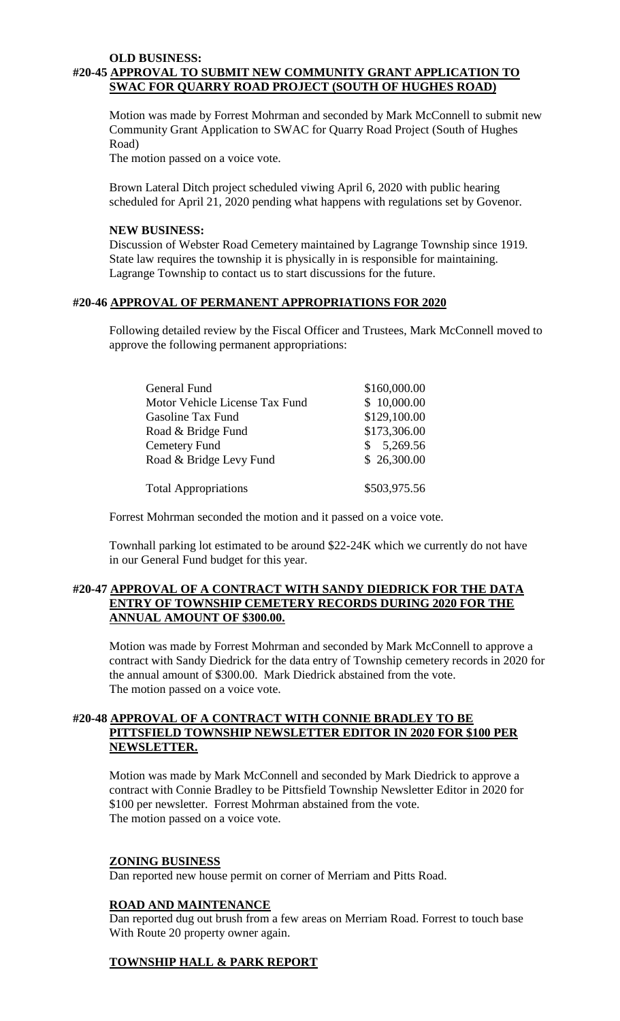#### **OLD BUSINESS: #20-45 APPROVAL TO SUBMIT NEW COMMUNITY GRANT APPLICATION TO SWAC FOR QUARRY ROAD PROJECT (SOUTH OF HUGHES ROAD)**

Motion was made by Forrest Mohrman and seconded by Mark McConnell to submit new Community Grant Application to SWAC for Quarry Road Project (South of Hughes Road)

The motion passed on a voice vote.

Brown Lateral Ditch project scheduled viwing April 6, 2020 with public hearing scheduled for April 21, 2020 pending what happens with regulations set by Govenor.

#### **NEW BUSINESS:**

Discussion of Webster Road Cemetery maintained by Lagrange Township since 1919. State law requires the township it is physically in is responsible for maintaining. Lagrange Township to contact us to start discussions for the future.

## **#20-46 APPROVAL OF PERMANENT APPROPRIATIONS FOR 2020**

Following detailed review by the Fiscal Officer and Trustees, Mark McConnell moved to approve the following permanent appropriations:

| General Fund                   | \$160,000.00   |
|--------------------------------|----------------|
| Motor Vehicle License Tax Fund | \$10,000.00    |
| Gasoline Tax Fund              | \$129,100.00   |
| Road & Bridge Fund             | \$173,306.00   |
| Cemetery Fund                  | 5,269.56<br>S. |
| Road & Bridge Levy Fund        | \$26,300.00    |
| <b>Total Appropriations</b>    | \$503,975.56   |

Forrest Mohrman seconded the motion and it passed on a voice vote.

Townhall parking lot estimated to be around \$22-24K which we currently do not have in our General Fund budget for this year.

## **#20-47 APPROVAL OF A CONTRACT WITH SANDY DIEDRICK FOR THE DATA ENTRY OF TOWNSHIP CEMETERY RECORDS DURING 2020 FOR THE ANNUAL AMOUNT OF \$300.00.**

Motion was made by Forrest Mohrman and seconded by Mark McConnell to approve a contract with Sandy Diedrick for the data entry of Township cemetery records in 2020 for the annual amount of \$300.00. Mark Diedrick abstained from the vote. The motion passed on a voice vote.

## **#20-48 APPROVAL OF A CONTRACT WITH CONNIE BRADLEY TO BE PITTSFIELD TOWNSHIP NEWSLETTER EDITOR IN 2020 FOR \$100 PER NEWSLETTER.**

Motion was made by Mark McConnell and seconded by Mark Diedrick to approve a contract with Connie Bradley to be Pittsfield Township Newsletter Editor in 2020 for \$100 per newsletter. Forrest Mohrman abstained from the vote. The motion passed on a voice vote.

#### **ZONING BUSINESS**

Dan reported new house permit on corner of Merriam and Pitts Road.

#### **ROAD AND MAINTENANCE**

Dan reported dug out brush from a few areas on Merriam Road. Forrest to touch base With Route 20 property owner again.

## **TOWNSHIP HALL & PARK REPORT**